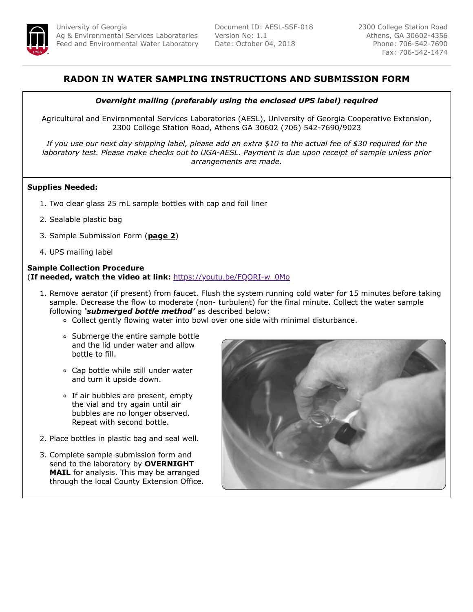

## **RADON IN WATER SAMPLING INSTRUCTIONS AND SUBMISSION FORM**

## *Overnight mailing (preferably using the enclosed UPS label) required*

Agricultural and Environmental Services Laboratories (AESL), University of Georgia Cooperative Extension, 2300 College Station Road, Athens GA 30602 (706) 542-7690/9023

*If you use our next day shipping label, please add an extra \$10 to the actual fee of \$30 required for the laboratory test. Please make checks out to UGA-AESL. Payment is due upon receipt of sample unless prior arrangements are made.*

## **Supplies Needed:**

- 1. Two clear glass 25 mL sample bottles with cap and foil liner
- 2. Sealable plastic bag
- 3. Sample Submission Form (**page 2**)
- 4. UPS mailing label

## **Sample Collection Procedure** (**If needed, watch the video at link:** [https://youtu.be/FQORI-w\\_0Mo](https://youtu.be/FQORI-w_0Mo)

- 1. Remove aerator (if present) from faucet. Flush the system running cold water for 15 minutes before taking sample. Decrease the flow to moderate (non- turbulent) for the final minute. Collect the water sample following *'submerged bottle method'* as described below:
	- Collect gently flowing water into bowl over one side with minimal disturbance.
	- Submerge the entire sample bottle and the lid under water and allow bottle to fill.
	- Cap bottle while still under water and turn it upside down.
	- o If air bubbles are present, empty the vial and try again until air bubbles are no longer observed. Repeat with second bottle.
- 2. Place bottles in plastic bag and seal well.
- 3. Complete sample submission form and send to the laboratory by **OVERNIGHT MAIL** for analysis. This may be arranged through the local County Extension Office.